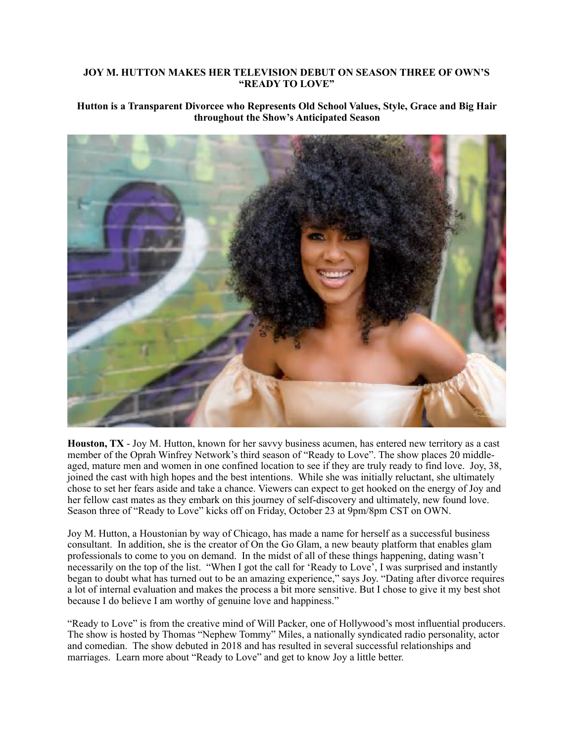## **JOY M. HUTTON MAKES HER TELEVISION DEBUT ON SEASON THREE OF OWN'S "READY TO LOVE"**

## **Hutton is a Transparent Divorcee who Represents Old School Values, Style, Grace and Big Hair throughout the Show's Anticipated Season**



**Houston, TX** - Joy M. Hutton, known for her savvy business acumen, has entered new territory as a cast member of the Oprah Winfrey Network's third season of "Ready to Love". The show places 20 middleaged, mature men and women in one confined location to see if they are truly ready to find love. Joy, 38, joined the cast with high hopes and the best intentions. While she was initially reluctant, she ultimately chose to set her fears aside and take a chance. Viewers can expect to get hooked on the energy of Joy and her fellow cast mates as they embark on this journey of self-discovery and ultimately, new found love. Season three of "Ready to Love" kicks off on Friday, October 23 at 9pm/8pm CST on OWN.

Joy M. Hutton, a Houstonian by way of Chicago, has made a name for herself as a successful business consultant. In addition, she is the creator of On the Go Glam, a new beauty platform that enables glam professionals to come to you on demand. In the midst of all of these things happening, dating wasn't necessarily on the top of the list. "When I got the call for 'Ready to Love', I was surprised and instantly began to doubt what has turned out to be an amazing experience," says Joy. "Dating after divorce requires a lot of internal evaluation and makes the process a bit more sensitive. But I chose to give it my best shot because I do believe I am worthy of genuine love and happiness."

"Ready to Love" is from the creative mind of Will Packer, one of Hollywood's most influential producers. The show is hosted by Thomas "Nephew Tommy" Miles, a nationally syndicated radio personality, actor and comedian. The show debuted in 2018 and has resulted in several successful relationships and marriages. Learn more about "Ready to Love" and get to know Joy a little better.